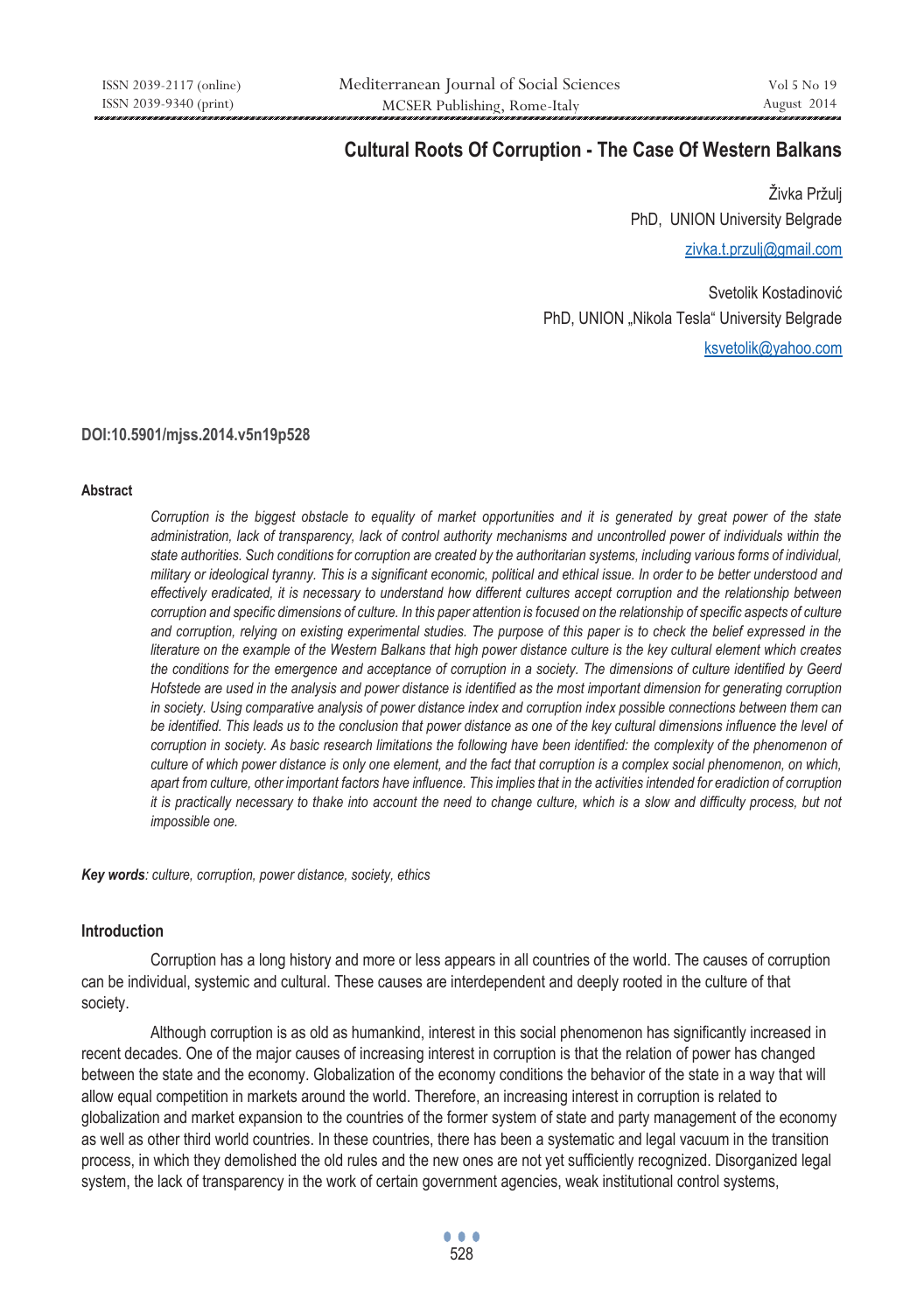# **Cultural Roots Of Corruption - The Case Of Western Balkans**

Živka Pržulj PhD, UNION University Belgrade zivka.t.przulj@gmail.com

Svetolik Kostadinović PhD, UNION "Nikola Tesla" University Belgrade

ksvetolik@yahoo.com

#### **DOI:10.5901/mjss.2014.v5n19p528**

#### **Abstract**

*Corruption is the biggest obstacle to equality of market opportunities and it is generated by great power of the state*  administration, lack of transparency, lack of control authority mechanisms and uncontrolled power of individuals within the *state authorities. Such conditions for corruption are created by the authoritarian systems, including various forms of individual, military or ideological tyranny. This is a significant economic, political and ethical issue. In order to be better understood and effectively eradicated, it is necessary to understand how different cultures accept corruption and the relationship between corruption and specific dimensions of culture. In this paper attention is focused on the relationship of specific aspects of culture*  and corruption, relying on existing experimental studies. The purpose of this paper is to check the belief expressed in the *literature on the example of the Western Balkans that high power distance culture is the key cultural element which creates the conditions for the emergence and acceptance of corruption in a society. The dimensions of culture identified by Geerd Hofstede are used in the analysis and power distance is identified as the most important dimension for generating corruption in society. Using comparative analysis of power distance index and corruption index possible connections between them can be identified. This leads us to the conclusion that power distance as one of the key cultural dimensions influence the level of corruption in society. As basic research limitations the following have been identified: the complexity of the phenomenon of culture of which power distance is only one element, and the fact that corruption is a complex social phenomenon, on which,*  apart from culture, other important factors have influence. This implies that in the activities intended for eradiction of corruption *it is practically necessary to thake into account the need to change culture, which is a slow and difficulty process, but not impossible one.* 

*Key words: culture, corruption, power distance, society, ethics* 

#### **Introduction**

 Corruption has a long history and more or less appears in all countries of the world. The causes of corruption can be individual, systemic and cultural. These causes are interdependent and deeply rooted in the culture of that society.

Although corruption is as old as humankind, interest in this social phenomenon has significantly increased in recent decades. One of the major causes of increasing interest in corruption is that the relation of power has changed between the state and the economy. Globalization of the economy conditions the behavior of the state in a way that will allow equal competition in markets around the world. Therefore, an increasing interest in corruption is related to globalization and market expansion to the countries of the former system of state and party management of the economy as well as other third world countries. In these countries, there has been a systematic and legal vacuum in the transition process, in which they demolished the old rules and the new ones are not yet sufficiently recognized. Disorganized legal system, the lack of transparency in the work of certain government agencies, weak institutional control systems,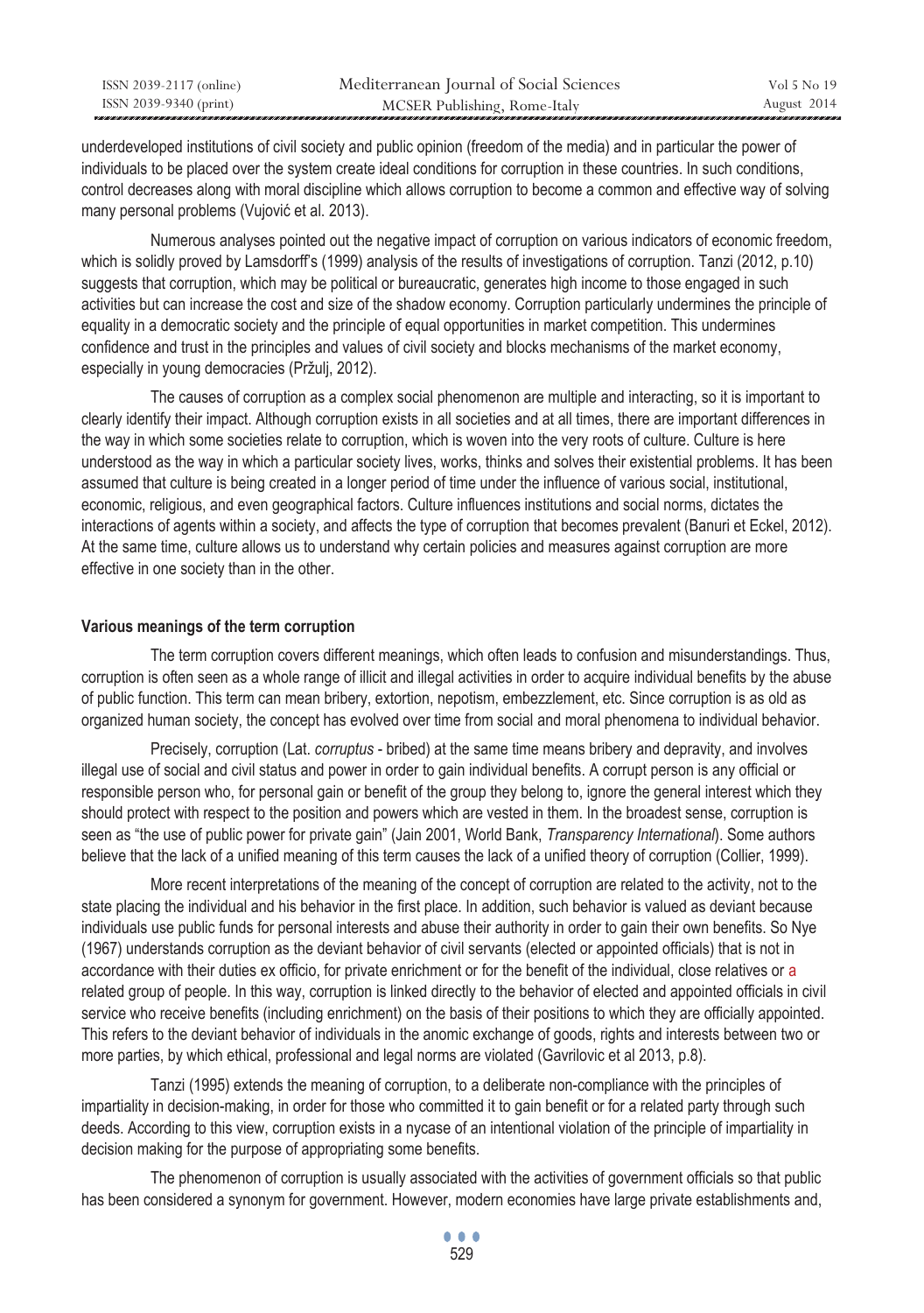| ISSN 2039-2117 (online) | Mediterranean Journal of Social Sciences | Vol 5 No 19 |
|-------------------------|------------------------------------------|-------------|
| ISSN 2039-9340 (print)  | MCSER Publishing, Rome-Italy             | August 2014 |

underdeveloped institutions of civil society and public opinion (freedom of the media) and in particular the power of individuals to be placed over the system create ideal conditions for corruption in these countries. In such conditions, control decreases along with moral discipline which allows corruption to become a common and effective way of solving many personal problems (Vujović et al. 2013).

Numerous analyses pointed out the negative impact of corruption on various indicators of economic freedom, which is solidly proved by Lamsdorff's (1999) analysis of the results of investigations of corruption. Tanzi (2012, p.10) suggests that corruption, which may be political or bureaucratic, generates high income to those engaged in such activities but can increase the cost and size of the shadow economy. Corruption particularly undermines the principle of equality in a democratic society and the principle of equal opportunities in market competition. This undermines confidence and trust in the principles and values of civil society and blocks mechanisms of the market economy, especially in young democracies (Pržulj, 2012).

The causes of corruption as a complex social phenomenon are multiple and interacting, so it is important to clearly identify their impact. Although corruption exists in all societies and at all times, there are important differences in the way in which some societies relate to corruption, which is woven into the very roots of culture. Culture is here understood as the way in which a particular society lives, works, thinks and solves their existential problems. It has been assumed that culture is being created in a longer period of time under the influence of various social, institutional, economic, religious, and even geographical factors. Culture influences institutions and social norms, dictates the interactions of agents within a society, and affects the type of corruption that becomes prevalent (Banuri et Eckel, 2012). At the same time, culture allows us to understand why certain policies and measures against corruption are more effective in one society than in the other.

#### **Various meanings of the term corruption**

The term corruption covers different meanings, which often leads to confusion and misunderstandings. Thus, corruption is often seen as a whole range of illicit and illegal activities in order to acquire individual benefits by the abuse of public function. This term can mean bribery, extortion, nepotism, embezzlement, etc. Since corruption is as old as organized human society, the concept has evolved over time from social and moral phenomena to individual behavior.

Precisely, corruption (Lat. *corruptus* - bribed) at the same time means bribery and depravity, and involves illegal use of social and civil status and power in order to gain individual benefits. A corrupt person is any official or responsible person who, for personal gain or benefit of the group they belong to, ignore the general interest which they should protect with respect to the position and powers which are vested in them. In the broadest sense, corruption is seen as "the use of public power for private gain" (Jain 2001, World Bank, *Transparency International*). Some authors believe that the lack of a unified meaning of this term causes the lack of a unified theory of corruption (Collier, 1999).

More recent interpretations of the meaning of the concept of corruption are related to the activity, not to the state placing the individual and his behavior in the first place. In addition, such behavior is valued as deviant because individuals use public funds for personal interests and abuse their authority in order to gain their own benefits. So Nye (1967) understands corruption as the deviant behavior of civil servants (elected or appointed officials) that is not in accordance with their duties ex officio, for private enrichment or for the benefit of the individual, close relatives or a related group of people. In this way, corruption is linked directly to the behavior of elected and appointed officials in civil service who receive benefits (including enrichment) on the basis of their positions to which they are officially appointed. This refers to the deviant behavior of individuals in the anomic exchange of goods, rights and interests between two or more parties, by which ethical, professional and legal norms are violated (Gavrilovic et al 2013, p.8).

Tanzi (1995) extends the meaning of corruption, to a deliberate non-compliance with the principles of impartiality in decision-making, in order for those who committed it to gain benefit or for a related party through such deeds. According to this view, corruption exists in a nycase of an intentional violation of the principle of impartiality in decision making for the purpose of appropriating some benefits.

The phenomenon of corruption is usually associated with the activities of government officials so that public has been considered a synonym for government. However, modern economies have large private establishments and,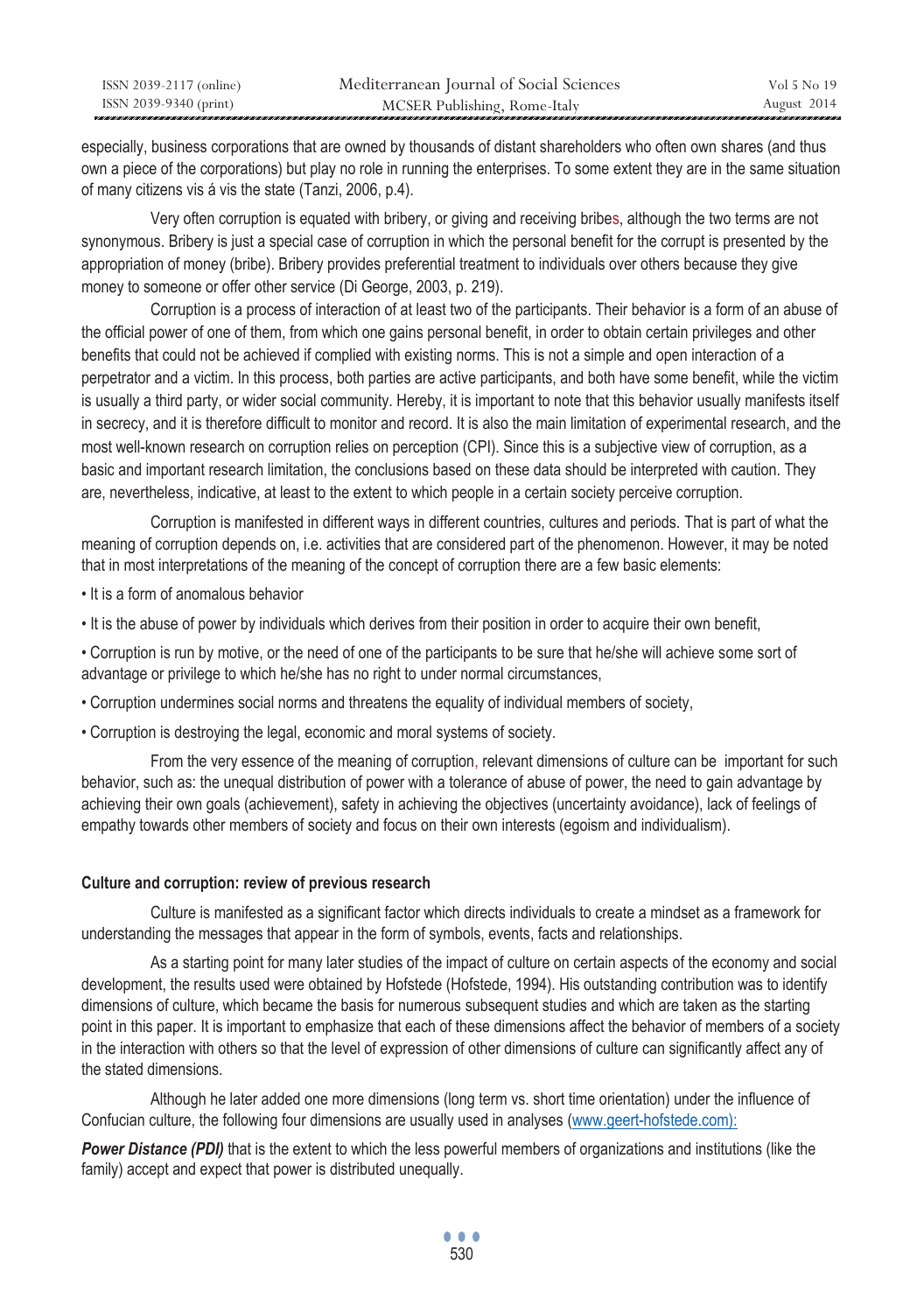| ISSN 2039-2117 (online) | Mediterranean Journal of Social Sciences | Vol 5 No 19 |
|-------------------------|------------------------------------------|-------------|
| ISSN 2039-9340 (print)  | MCSER Publishing, Rome-Italy             | August 2014 |

especially, business corporations that are owned by thousands of distant shareholders who often own shares (and thus own a piece of the corporations) but play no role in running the enterprises. To some extent they are in the same situation of many citizens vis á vis the state (Tanzi, 2006, p.4).

Very often corruption is equated with bribery, or giving and receiving bribes, although the two terms are not synonymous. Bribery is just a special case of corruption in which the personal benefit for the corrupt is presented by the appropriation of money (bribe). Bribery provides preferential treatment to individuals over others because they give money to someone or offer other service (Di George, 2003, p. 219).

Corruption is a process of interaction of at least two of the participants. Their behavior is a form of an abuse of the official power of one of them, from which one gains personal benefit, in order to obtain certain privileges and other benefits that could not be achieved if complied with existing norms. This is not a simple and open interaction of a perpetrator and a victim. In this process, both parties are active participants, and both have some benefit, while the victim is usually a third party, or wider social community. Hereby, it is important to note that this behavior usually manifests itself in secrecy, and it is therefore difficult to monitor and record. It is also the main limitation of experimental research, and the most well-known research on corruption relies on perception (CPI). Since this is a subjective view of corruption, as a basic and important research limitation, the conclusions based on these data should be interpreted with caution. They are, nevertheless, indicative, at least to the extent to which people in a certain society perceive corruption.

Corruption is manifested in different ways in different countries, cultures and periods. That is part of what the meaning of corruption depends on, i.e. activities that are considered part of the phenomenon. However, it may be noted that in most interpretations of the meaning of the concept of corruption there are a few basic elements:

• It is a form of anomalous behavior

• It is the abuse of power by individuals which derives from their position in order to acquire their own benefit,

• Corruption is run by motive, or the need of one of the participants to be sure that he/she will achieve some sort of advantage or privilege to which he/she has no right to under normal circumstances,

• Corruption undermines social norms and threatens the equality of individual members of society,

• Corruption is destroying the legal, economic and moral systems of society.

From the very essence of the meaning of corruption, relevant dimensions of culture can be important for such behavior, such as: the unequal distribution of power with a tolerance of abuse of power, the need to gain advantage by achieving their own goals (achievement), safety in achieving the objectives (uncertainty avoidance), lack of feelings of empathy towards other members of society and focus on their own interests (egoism and individualism).

## **Culture and corruption: review of previous research**

Culture is manifested as a significant factor which directs individuals to create a mindset as a framework for understanding the messages that appear in the form of symbols, events, facts and relationships.

As a starting point for many later studies of the impact of culture on certain aspects of the economy and social development, the results used were obtained by Hofstede (Hofstede, 1994). His outstanding contribution was to identify dimensions of culture, which became the basis for numerous subsequent studies and which are taken as the starting point in this paper. It is important to emphasize that each of these dimensions affect the behavior of members of a society in the interaction with others so that the level of expression of other dimensions of culture can significantly affect any of the stated dimensions.

Although he later added one more dimensions (long term vs. short time orientation) under the influence of Confucian culture, the following four dimensions are usually used in analyses (www.geert-hofstede.com):

**Power Distance (PDI)** that is the extent to which the less powerful members of organizations and institutions (like the family) accept and expect that power is distributed unequally.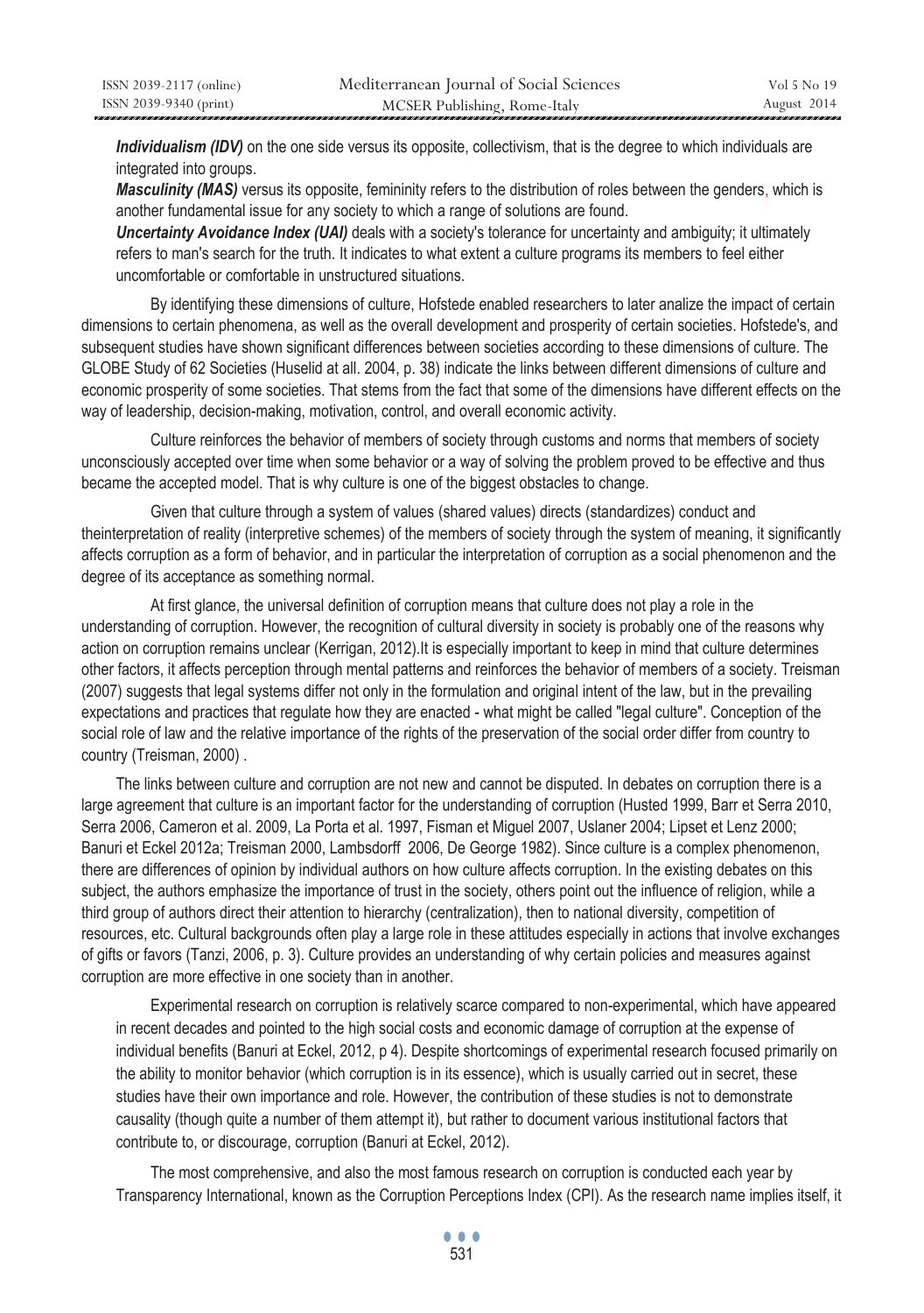| ISSN 2039-2117 (online) | Mediterranean Journal of Social Sciences | Vol 5 No 19 |
|-------------------------|------------------------------------------|-------------|
| ISSN 2039-9340 (print)  | MCSER Publishing, Rome-Italy             | August 2014 |

*Individualism (IDV)* on the one side versus its opposite, collectivism, that is the degree to which individuals are integrated into groups.

*Masculinity (MAS)* versus its opposite, femininity refers to the distribution of roles between the genders, which is another fundamental issue for any society to which a range of solutions are found.

*Uncertainty Avoidance Index (UAI)* deals with a society's tolerance for uncertainty and ambiguity; it ultimately refers to man's search for the truth. It indicates to what extent a culture programs its members to feel either uncomfortable or comfortable in unstructured situations.

By identifying these dimensions of culture, Hofstede enabled researchers to later analize the impact of certain dimensions to certain phenomena, as well as the overall development and prosperity of certain societies. Hofstede's, and subsequent studies have shown significant differences between societies according to these dimensions of culture. The GLOBE Study of 62 Societies (Huselid at all. 2004, p. 38) indicate the links between different dimensions of culture and economic prosperity of some societies. That stems from the fact that some of the dimensions have different effects on the way of leadership, decision-making, motivation, control, and overall economic activity.

Culture reinforces the behavior of members of society through customs and norms that members of society unconsciously accepted over time when some behavior or a way of solving the problem proved to be effective and thus became the accepted model. That is why culture is one of the biggest obstacles to change.

Given that culture through a system of values (shared values) directs (standardizes) conduct and theinterpretation of reality (interpretive schemes) of the members of society through the system of meaning, it significantly affects corruption as a form of behavior, and in particular the interpretation of corruption as a social phenomenon and the degree of its acceptance as something normal.

At first glance, the universal definition of corruption means that culture does not play a role in the understanding of corruption. However, the recognition of cultural diversity in society is probably one of the reasons why action on corruption remains unclear (Kerrigan, 2012).It is especially important to keep in mind that culture determines other factors, it affects perception through mental patterns and reinforces the behavior of members of a society. Treisman (2007) suggests that legal systems differ not only in the formulation and original intent of the law, but in the prevailing expectations and practices that regulate how they are enacted - what might be called "legal culture". Conception of the social role of law and the relative importance of the rights of the preservation of the social order differ from country to country (Treisman, 2000) .

The links between culture and corruption are not new and cannot be disputed. In debates on corruption there is a large agreement that culture is an important factor for the understanding of corruption (Husted 1999, Barr et Serra 2010, Serra 2006, Cameron et al. 2009, La Porta et al. 1997, Fisman et Miguel 2007, Uslaner 2004; Lipset et Lenz 2000; Banuri et Eckel 2012a; Treisman 2000, Lambsdorff 2006, De George 1982). Since culture is a complex phenomenon, there are differences of opinion by individual authors on how culture affects corruption. In the existing debates on this subject, the authors emphasize the importance of trust in the society, others point out the influence of religion, while a third group of authors direct their attention to hierarchy (centralization), then to national diversity, competition of resources, etc. Cultural backgrounds often play a large role in these attitudes especially in actions that involve exchanges of gifts or favors (Tanzi, 2006, p. 3). Culture provides an understanding of why certain policies and measures against corruption are more effective in one society than in another.

Experimental research on corruption is relatively scarce compared to non-experimental, which have appeared in recent decades and pointed to the high social costs and economic damage of corruption at the expense of individual benefits (Banuri at Eckel, 2012, p 4). Despite shortcomings of experimental research focused primarily on the ability to monitor behavior (which corruption is in its essence), which is usually carried out in secret, these studies have their own importance and role. However, the contribution of these studies is not to demonstrate causality (though quite a number of them attempt it), but rather to document various institutional factors that contribute to, or discourage, corruption (Banuri at Eckel, 2012).

The most comprehensive, and also the most famous research on corruption is conducted each year by Transparency International, known as the Corruption Perceptions Index (CPI). As the research name implies itself, it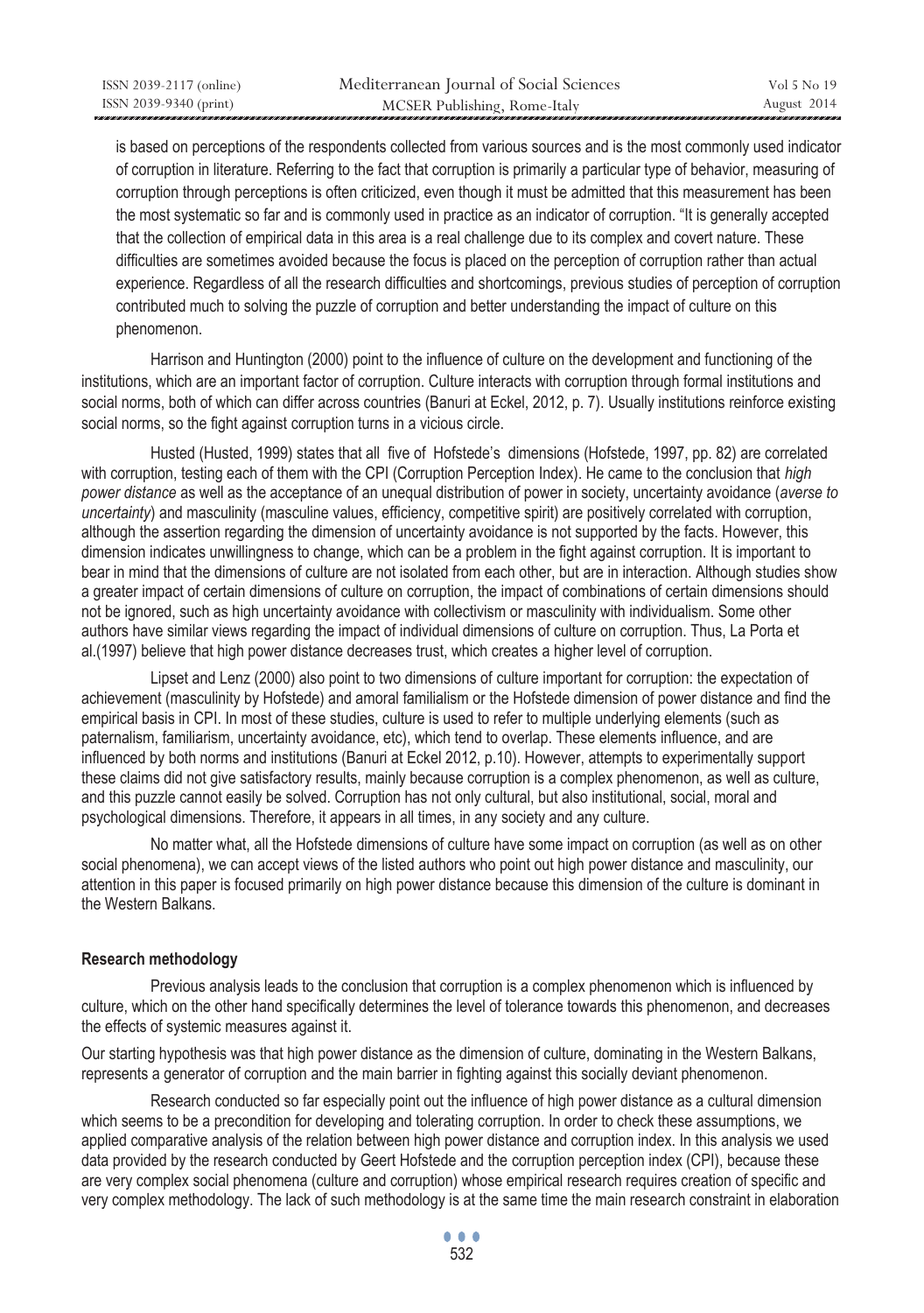| ISSN 2039-2117 (online) | Mediterranean Journal of Social Sciences | Vol 5 No 19 |
|-------------------------|------------------------------------------|-------------|
| ISSN 2039-9340 (print)  | MCSER Publishing, Rome-Italy             | August 2014 |

is based on perceptions of the respondents collected from various sources and is the most commonly used indicator of corruption in literature. Referring to the fact that corruption is primarily a particular type of behavior, measuring of corruption through perceptions is often criticized, even though it must be admitted that this measurement has been the most systematic so far and is commonly used in practice as an indicator of corruption. "It is generally accepted that the collection of empirical data in this area is a real challenge due to its complex and covert nature. These difficulties are sometimes avoided because the focus is placed on the perception of corruption rather than actual experience. Regardless of all the research difficulties and shortcomings, previous studies of perception of corruption contributed much to solving the puzzle of corruption and better understanding the impact of culture on this phenomenon.

Harrison and Huntington (2000) point to the influence of culture on the development and functioning of the institutions, which are an important factor of corruption. Culture interacts with corruption through formal institutions and social norms, both of which can differ across countries (Banuri at Eckel, 2012, p. 7). Usually institutions reinforce existing social norms, so the fight against corruption turns in a vicious circle.

Husted (Husted, 1999) states that all five of Hofstede's dimensions (Hofstede, 1997, pp. 82) are correlated with corruption, testing each of them with the CPI (Corruption Perception Index). He came to the conclusion that *high power distance* as well as the acceptance of an unequal distribution of power in society, uncertainty avoidance (*averse to uncertainty*) and masculinity (masculine values, efficiency, competitive spirit) are positively correlated with corruption, although the assertion regarding the dimension of uncertainty avoidance is not supported by the facts. However, this dimension indicates unwillingness to change, which can be a problem in the fight against corruption. It is important to bear in mind that the dimensions of culture are not isolated from each other, but are in interaction. Although studies show a greater impact of certain dimensions of culture on corruption, the impact of combinations of certain dimensions should not be ignored, such as high uncertainty avoidance with collectivism or masculinity with individualism. Some other authors have similar views regarding the impact of individual dimensions of culture on corruption. Thus, La Porta et al.(1997) believe that high power distance decreases trust, which creates a higher level of corruption.

Lipset and Lenz (2000) also point to two dimensions of culture important for corruption: the expectation of achievement (masculinity by Hofstede) and amoral familialism or the Hofstede dimension of power distance and find the empirical basis in CPI. In most of these studies, culture is used to refer to multiple underlying elements (such as paternalism, familiarism, uncertainty avoidance, etc), which tend to overlap. These elements influence, and are influenced by both norms and institutions (Banuri at Eckel 2012, p.10). However, attempts to experimentally support these claims did not give satisfactory results, mainly because corruption is a complex phenomenon, as well as culture, and this puzzle cannot easily be solved. Corruption has not only cultural, but also institutional, social, moral and psychological dimensions. Therefore, it appears in all times, in any society and any culture.

No matter what, all the Hofstede dimensions of culture have some impact on corruption (as well as on other social phenomena), we can accept views of the listed authors who point out high power distance and masculinity, our attention in this paper is focused primarily on high power distance because this dimension of the culture is dominant in the Western Balkans.

#### **Research methodology**

Previous analysis leads to the conclusion that corruption is a complex phenomenon which is influenced by culture, which on the other hand specifically determines the level of tolerance towards this phenomenon, and decreases the effects of systemic measures against it.

Our starting hypothesis was that high power distance as the dimension of culture, dominating in the Western Balkans, represents a generator of corruption and the main barrier in fighting against this socially deviant phenomenon.

Research conducted so far especially point out the influence of high power distance as a cultural dimension which seems to be a precondition for developing and tolerating corruption. In order to check these assumptions, we applied comparative analysis of the relation between high power distance and corruption index. In this analysis we used data provided by the research conducted by Geert Hofstede and the corruption perception index (CPI), because these are very complex social phenomena (culture and corruption) whose empirical research requires creation of specific and very complex methodology. The lack of such methodology is at the same time the main research constraint in elaboration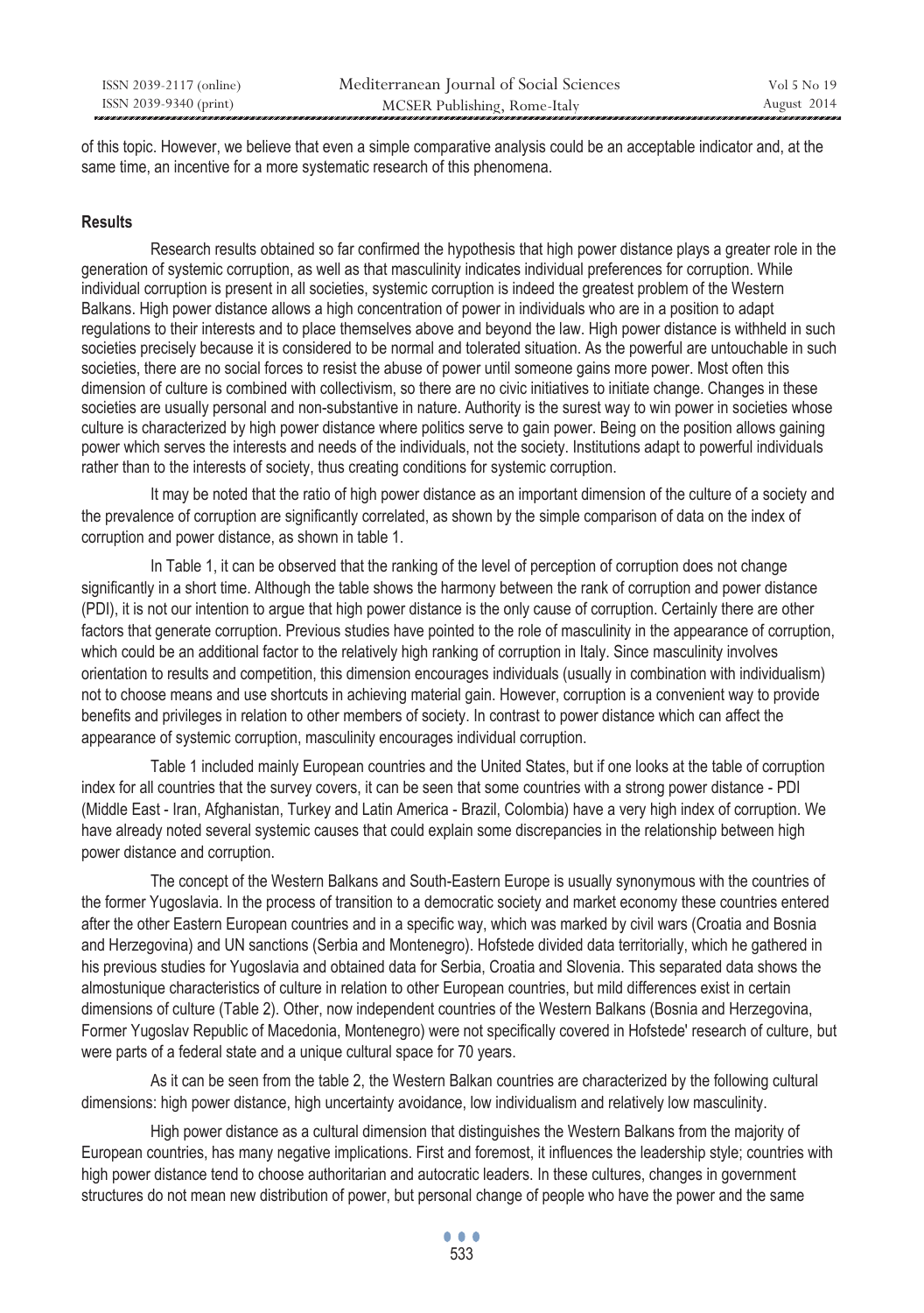of this topic. However, we believe that even a simple comparative analysis could be an acceptable indicator and, at the same time, an incentive for a more systematic research of this phenomena.

### **Results**

Research results obtained so far confirmed the hypothesis that high power distance plays a greater role in the generation of systemic corruption, as well as that masculinity indicates individual preferences for corruption. While individual corruption is present in all societies, systemic corruption is indeed the greatest problem of the Western Balkans. High power distance allows a high concentration of power in individuals who are in a position to adapt regulations to their interests and to place themselves above and beyond the law. High power distance is withheld in such societies precisely because it is considered to be normal and tolerated situation. As the powerful are untouchable in such societies, there are no social forces to resist the abuse of power until someone gains more power. Most often this dimension of culture is combined with collectivism, so there are no civic initiatives to initiate change. Changes in these societies are usually personal and non-substantive in nature. Authority is the surest way to win power in societies whose culture is characterized by high power distance where politics serve to gain power. Being on the position allows gaining power which serves the interests and needs of the individuals, not the society. Institutions adapt to powerful individuals rather than to the interests of society, thus creating conditions for systemic corruption.

It may be noted that the ratio of high power distance as an important dimension of the culture of a society and the prevalence of corruption are significantly correlated, as shown by the simple comparison of data on the index of corruption and power distance, as shown in table 1.

In Table 1, it can be observed that the ranking of the level of perception of corruption does not change significantly in a short time. Although the table shows the harmony between the rank of corruption and power distance (PDI), it is not our intention to argue that high power distance is the only cause of corruption. Certainly there are other factors that generate corruption. Previous studies have pointed to the role of masculinity in the appearance of corruption, which could be an additional factor to the relatively high ranking of corruption in Italy. Since masculinity involves orientation to results and competition, this dimension encourages individuals (usually in combination with individualism) not to choose means and use shortcuts in achieving material gain. However, corruption is a convenient way to provide benefits and privileges in relation to other members of society. In contrast to power distance which can affect the appearance of systemic corruption, masculinity encourages individual corruption.

Table 1 included mainly European countries and the United States, but if one looks at the table of corruption index for all countries that the survey covers, it can be seen that some countries with a strong power distance - PDI (Middle East - Iran, Afghanistan, Turkey and Latin America - Brazil, Colombia) have a very high index of corruption. We have already noted several systemic causes that could explain some discrepancies in the relationship between high power distance and corruption.

The concept of the Western Balkans and South-Eastern Europe is usually synonymous with the countries of the former Yugoslavia. In the process of transition to a democratic society and market economy these countries entered after the other Eastern European countries and in a specific way, which was marked by civil wars (Croatia and Bosnia and Herzegovina) and UN sanctions (Serbia and Montenegro). Hofstede divided data territorially, which he gathered in his previous studies for Yugoslavia and obtained data for Serbia, Croatia and Slovenia. This separated data shows the almostunique characteristics of culture in relation to other European countries, but mild differences exist in certain dimensions of culture (Table 2). Other, now independent countries of the Western Balkans (Bosnia and Herzegovina, Former Yugoslav Republic of Macedonia, Montenegro) were not specifically covered in Hofstede' research of culture, but were parts of a federal state and a unique cultural space for 70 years.

As it can be seen from the table 2, the Western Balkan countries are characterized by the following cultural dimensions: high power distance, high uncertainty avoidance, low individualism and relatively low masculinity.

High power distance as a cultural dimension that distinguishes the Western Balkans from the majority of European countries, has many negative implications. First and foremost, it influences the leadership style; countries with high power distance tend to choose authoritarian and autocratic leaders. In these cultures, changes in government structures do not mean new distribution of power, but personal change of people who have the power and the same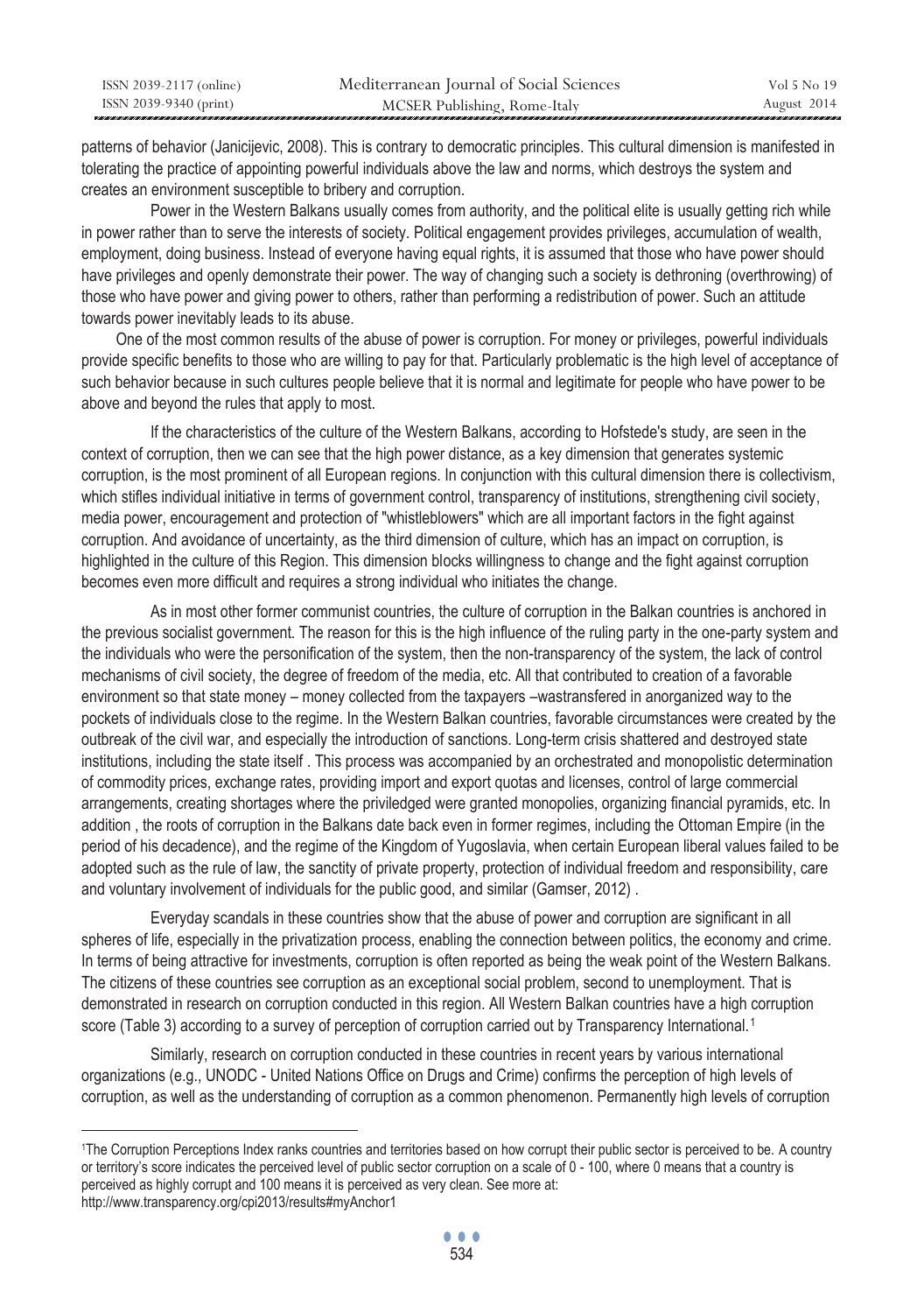| ISSN 2039-2117 (online) | Mediterranean Journal of Social Sciences | Vol 5 No 19 |
|-------------------------|------------------------------------------|-------------|
| ISSN 2039-9340 (print)  | MCSER Publishing, Rome-Italy             | August 2014 |

patterns of behavior (Janicijevic, 2008). This is contrary to democratic principles. This cultural dimension is manifested in tolerating the practice of appointing powerful individuals above the law and norms, which destroys the system and creates an environment susceptible to bribery and corruption.

Power in the Western Balkans usually comes from authority, and the political elite is usually getting rich while in power rather than to serve the interests of society. Political engagement provides privileges, accumulation of wealth, employment, doing business. Instead of everyone having equal rights, it is assumed that those who have power should have privileges and openly demonstrate their power. The way of changing such a society is dethroning (overthrowing) of those who have power and giving power to others, rather than performing a redistribution of power. Such an attitude towards power inevitably leads to its abuse.

One of the most common results of the abuse of power is corruption. For money or privileges, powerful individuals provide specific benefits to those who are willing to pay for that. Particularly problematic is the high level of acceptance of such behavior because in such cultures people believe that it is normal and legitimate for people who have power to be above and beyond the rules that apply to most.

If the characteristics of the culture of the Western Balkans, according to Hofstede's study, are seen in the context of corruption, then we can see that the high power distance, as a key dimension that generates systemic corruption, is the most prominent of all European regions. In conjunction with this cultural dimension there is collectivism, which stifles individual initiative in terms of government control, transparency of institutions, strengthening civil society, media power, encouragement and protection of "whistleblowers" which are all important factors in the fight against corruption. And avoidance of uncertainty, as the third dimension of culture, which has an impact on corruption, is highlighted in the culture of this Region. This dimension blocks willingness to change and the fight against corruption becomes even more difficult and requires a strong individual who initiates the change.

As in most other former communist countries, the culture of corruption in the Balkan countries is anchored in the previous socialist government. The reason for this is the high influence of the ruling party in the one-party system and the individuals who were the personification of the system, then the non-transparency of the system, the lack of control mechanisms of civil society, the degree of freedom of the media, etc. All that contributed to creation of a favorable environment so that state money – money collected from the taxpayers –wastransfered in anorganized way to the pockets of individuals close to the regime. In the Western Balkan countries, favorable circumstances were created by the outbreak of the civil war, and especially the introduction of sanctions. Long-term crisis shattered and destroyed state institutions, including the state itself . This process was accompanied by an orchestrated and monopolistic determination of commodity prices, exchange rates, providing import and export quotas and licenses, control of large commercial arrangements, creating shortages where the priviledged were granted monopolies, organizing financial pyramids, etc. In addition , the roots of corruption in the Balkans date back even in former regimes, including the Ottoman Empire (in the period of his decadence), and the regime of the Kingdom of Yugoslavia, when certain European liberal values failed to be adopted such as the rule of law, the sanctity of private property, protection of individual freedom and responsibility, care and voluntary involvement of individuals for the public good, and similar (Gamser, 2012) .

Everyday scandals in these countries show that the abuse of power and corruption are significant in all spheres of life, especially in the privatization process, enabling the connection between politics, the economy and crime. In terms of being attractive for investments, corruption is often reported as being the weak point of the Western Balkans. The citizens of these countries see corruption as an exceptional social problem, second to unemployment. That is demonstrated in research on corruption conducted in this region. All Western Balkan countries have a high corruption score (Table 3) according to a survey of perception of corruption carried out by Transparency International.<sup>1</sup>

Similarly, research on corruption conducted in these countries in recent years by various international organizations (e.g., UNODC - United Nations Office on Drugs and Crime) confirms the perception of high levels of corruption, as well as the understanding of corruption as a common phenomenon. Permanently high levels of corruption

 $\overline{a}$ 

<sup>1</sup>The Corruption Perceptions Index ranks countries and territories based on how corrupt their public sector is perceived to be. A country or territory's score indicates the perceived level of public sector corruption on a scale of 0 - 100, where 0 means that a country is perceived as highly corrupt and 100 means it is perceived as very clean. See more at: http://www.transparency.org/cpi2013/results#myAnchor1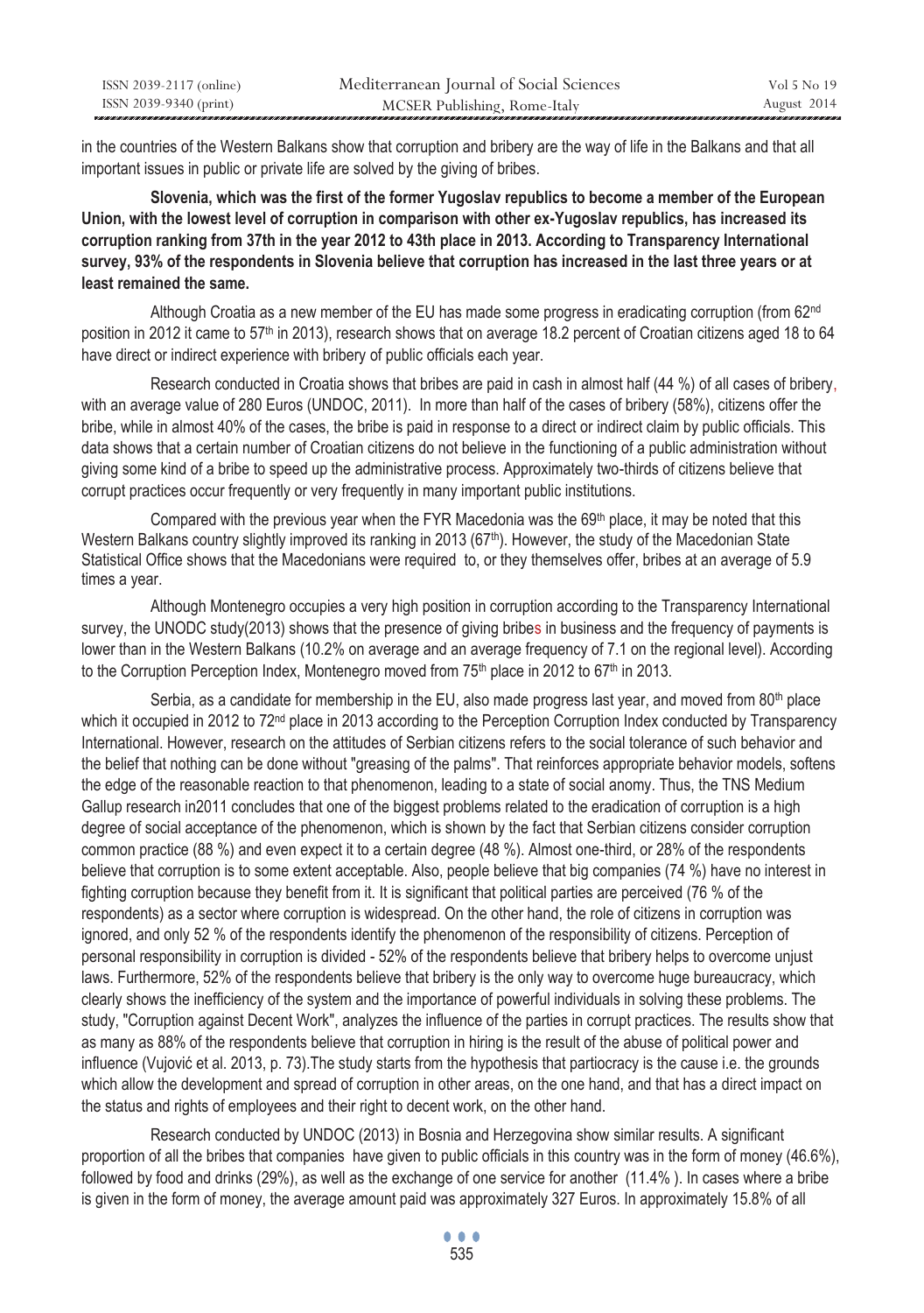| ISSN 2039-2117 (online) | Mediterranean Journal of Social Sciences | Vol 5 No 19 |
|-------------------------|------------------------------------------|-------------|
| ISSN 2039-9340 (print)  | MCSER Publishing, Rome-Italy             | August 2014 |

in the countries of the Western Balkans show that corruption and bribery are the way of life in the Balkans and that all important issues in public or private life are solved by the giving of bribes.

**Slovenia, which was the first of the former Yugoslav republics to become a member of the European Union, with the lowest level of corruption in comparison with other ex-Yugoslav republics, has increased its corruption ranking from 37th in the year 2012 to 43th place in 2013. According to Transparency International survey, 93% of the respondents in Slovenia believe that corruption has increased in the last three years or at least remained the same.**

Although Croatia as a new member of the EU has made some progress in eradicating corruption (from  $62<sup>nd</sup>$ position in 2012 it came to 57<sup>th</sup> in 2013), research shows that on average 18.2 percent of Croatian citizens aged 18 to 64 have direct or indirect experience with bribery of public officials each year.

Research conducted in Croatia shows that bribes are paid in cash in almost half (44 %) of all cases of bribery, with an average value of 280 Euros (UNDOC, 2011). In more than half of the cases of bribery (58%), citizens offer the bribe, while in almost 40% of the cases, the bribe is paid in response to a direct or indirect claim by public officials. This data shows that a certain number of Croatian citizens do not believe in the functioning of a public administration without giving some kind of a bribe to speed up the administrative process. Approximately two-thirds of citizens believe that corrupt practices occur frequently or very frequently in many important public institutions.

Compared with the previous year when the FYR Macedonia was the 69<sup>th</sup> place, it may be noted that this Western Balkans country slightly improved its ranking in 2013 (67<sup>th</sup>). However, the study of the Macedonian State Statistical Office shows that the Macedonians were required to, or they themselves offer, bribes at an average of 5.9 times a year.

Although Montenegro occupies a very high position in corruption according to the Transparency International survey, the UNODC study(2013) shows that the presence of giving bribes in business and the frequency of payments is lower than in the Western Balkans (10.2% on average and an average frequency of 7.1 on the regional level). According to the Corruption Perception Index, Montenegro moved from  $75<sup>th</sup>$  place in 2012 to  $67<sup>th</sup>$  in 2013.

Serbia, as a candidate for membership in the EU, also made progress last year, and moved from 80<sup>th</sup> place which it occupied in 2012 to 72<sup>nd</sup> place in 2013 according to the Perception Corruption Index conducted by Transparency International. However, research on the attitudes of Serbian citizens refers to the social tolerance of such behavior and the belief that nothing can be done without "greasing of the palms". That reinforces appropriate behavior models, softens the edge of the reasonable reaction to that phenomenon, leading to a state of social anomy. Thus, the TNS Medium Gallup research in2011 concludes that one of the biggest problems related to the eradication of corruption is a high degree of social acceptance of the phenomenon, which is shown by the fact that Serbian citizens consider corruption common practice (88 %) and even expect it to a certain degree (48 %). Almost one-third, or 28% of the respondents believe that corruption is to some extent acceptable. Also, people believe that big companies (74 %) have no interest in fighting corruption because they benefit from it. It is significant that political parties are perceived (76 % of the respondents) as a sector where corruption is widespread. On the other hand, the role of citizens in corruption was ignored, and only 52 % of the respondents identify the phenomenon of the responsibility of citizens. Perception of personal responsibility in corruption is divided - 52% of the respondents believe that bribery helps to overcome unjust laws. Furthermore, 52% of the respondents believe that bribery is the only way to overcome huge bureaucracy, which clearly shows the inefficiency of the system and the importance of powerful individuals in solving these problems. The study, "Corruption against Decent Work", analyzes the influence of the parties in corrupt practices. The results show that as many as 88% of the respondents believe that corruption in hiring is the result of the abuse of political power and influence (Vujović et al. 2013, p. 73).The study starts from the hypothesis that partiocracy is the cause i.e. the grounds which allow the development and spread of corruption in other areas, on the one hand, and that has a direct impact on the status and rights of employees and their right to decent work, on the other hand.

Research conducted by UNDOC (2013) in Bosnia and Herzegovina show similar results. A significant proportion of all the bribes that companies have given to public officials in this country was in the form of money (46.6%), followed by food and drinks (29%), as well as the exchange of one service for another (11.4%). In cases where a bribe is given in the form of money, the average amount paid was approximately 327 Euros. In approximately 15.8% of all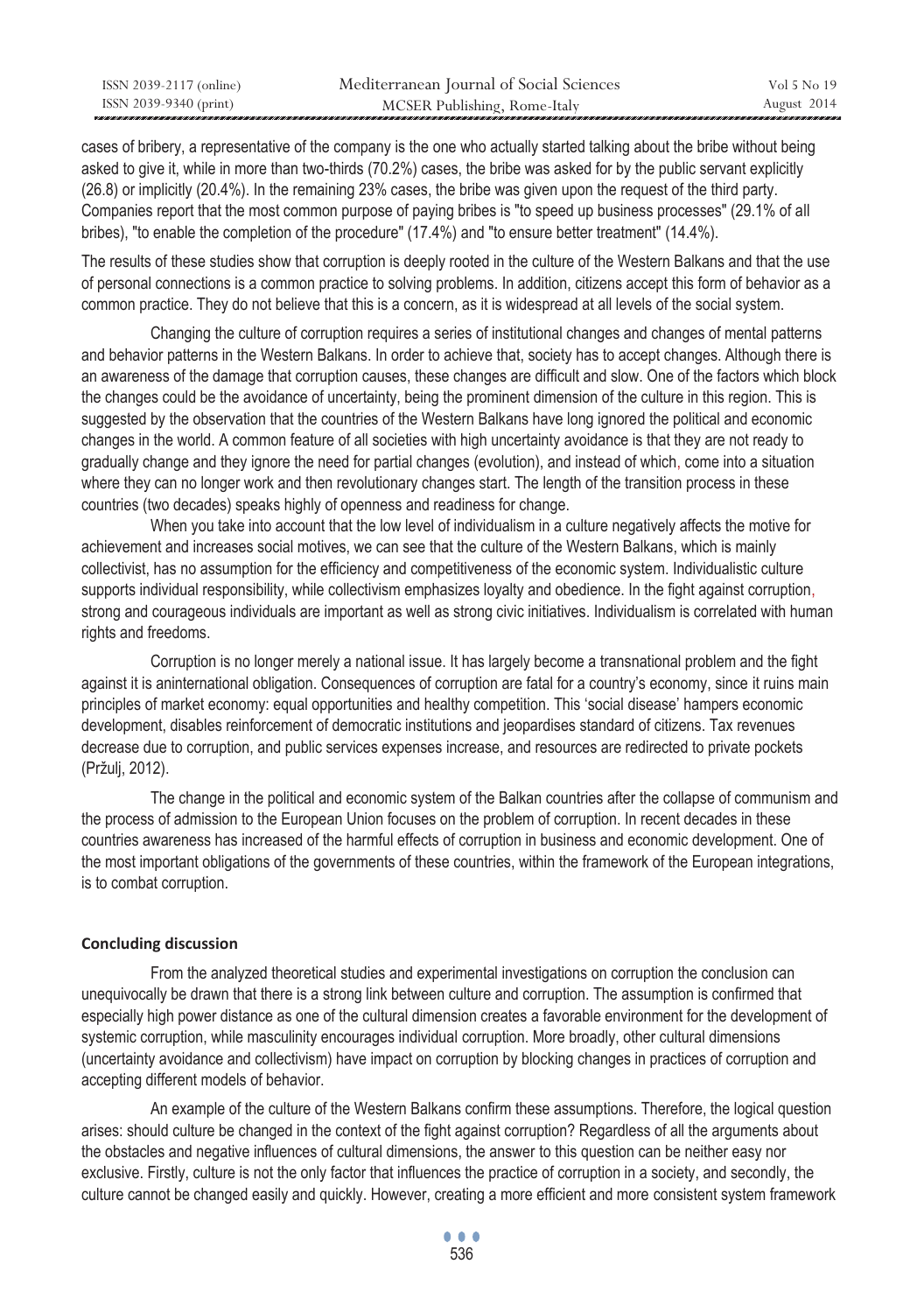| ISSN 2039-2117 (online) | Mediterranean Journal of Social Sciences | Vol 5 No 19 |
|-------------------------|------------------------------------------|-------------|
| ISSN 2039-9340 (print)  | MCSER Publishing, Rome-Italy             | August 2014 |

cases of bribery, a representative of the company is the one who actually started talking about the bribe without being asked to give it, while in more than two-thirds (70.2%) cases, the bribe was asked for by the public servant explicitly (26.8) or implicitly (20.4%). In the remaining 23% cases, the bribe was given upon the request of the third party. Companies report that the most common purpose of paying bribes is "to speed up business processes" (29.1% of all bribes), "to enable the completion of the procedure" (17.4%) and "to ensure better treatment" (14.4%).

The results of these studies show that corruption is deeply rooted in the culture of the Western Balkans and that the use of personal connections is a common practice to solving problems. In addition, citizens accept this form of behavior as a common practice. They do not believe that this is a concern, as it is widespread at all levels of the social system.

Changing the culture of corruption requires a series of institutional changes and changes of mental patterns and behavior patterns in the Western Balkans. In order to achieve that, society has to accept changes. Although there is an awareness of the damage that corruption causes, these changes are difficult and slow. One of the factors which block the changes could be the avoidance of uncertainty, being the prominent dimension of the culture in this region. This is suggested by the observation that the countries of the Western Balkans have long ignored the political and economic changes in the world. A common feature of all societies with high uncertainty avoidance is that they are not ready to gradually change and they ignore the need for partial changes (evolution), and instead of which, come into a situation where they can no longer work and then revolutionary changes start. The length of the transition process in these countries (two decades) speaks highly of openness and readiness for change.

When you take into account that the low level of individualism in a culture negatively affects the motive for achievement and increases social motives, we can see that the culture of the Western Balkans, which is mainly collectivist, has no assumption for the efficiency and competitiveness of the economic system. Individualistic culture supports individual responsibility, while collectivism emphasizes loyalty and obedience. In the fight against corruption, strong and courageous individuals are important as well as strong civic initiatives. Individualism is correlated with human rights and freedoms.

Corruption is no longer merely a national issue. It has largely become a transnational problem and the fight against it is aninternational obligation. Consequences of corruption are fatal for a country's economy, since it ruins main principles of market economy: equal opportunities and healthy competition. This 'social disease' hampers economic development, disables reinforcement of democratic institutions and jeopardises standard of citizens. Tax revenues decrease due to corruption, and public services expenses increase, and resources are redirected to private pockets (Pržulj, 2012).

The change in the political and economic system of the Balkan countries after the collapse of communism and the process of admission to the European Union focuses on the problem of corruption. In recent decades in these countries awareness has increased of the harmful effects of corruption in business and economic development. One of the most important obligations of the governments of these countries, within the framework of the European integrations, is to combat corruption.

#### **Concluding discussion**

From the analyzed theoretical studies and experimental investigations on corruption the conclusion can unequivocally be drawn that there is a strong link between culture and corruption. The assumption is confirmed that especially high power distance as one of the cultural dimension creates a favorable environment for the development of systemic corruption, while masculinity encourages individual corruption. More broadly, other cultural dimensions (uncertainty avoidance and collectivism) have impact on corruption by blocking changes in practices of corruption and accepting different models of behavior.

An example of the culture of the Western Balkans confirm these assumptions. Therefore, the logical question arises: should culture be changed in the context of the fight against corruption? Regardless of all the arguments about the obstacles and negative influences of cultural dimensions, the answer to this question can be neither easy nor exclusive. Firstly, culture is not the only factor that influences the practice of corruption in a society, and secondly, the culture cannot be changed easily and quickly. However, creating a more efficient and more consistent system framework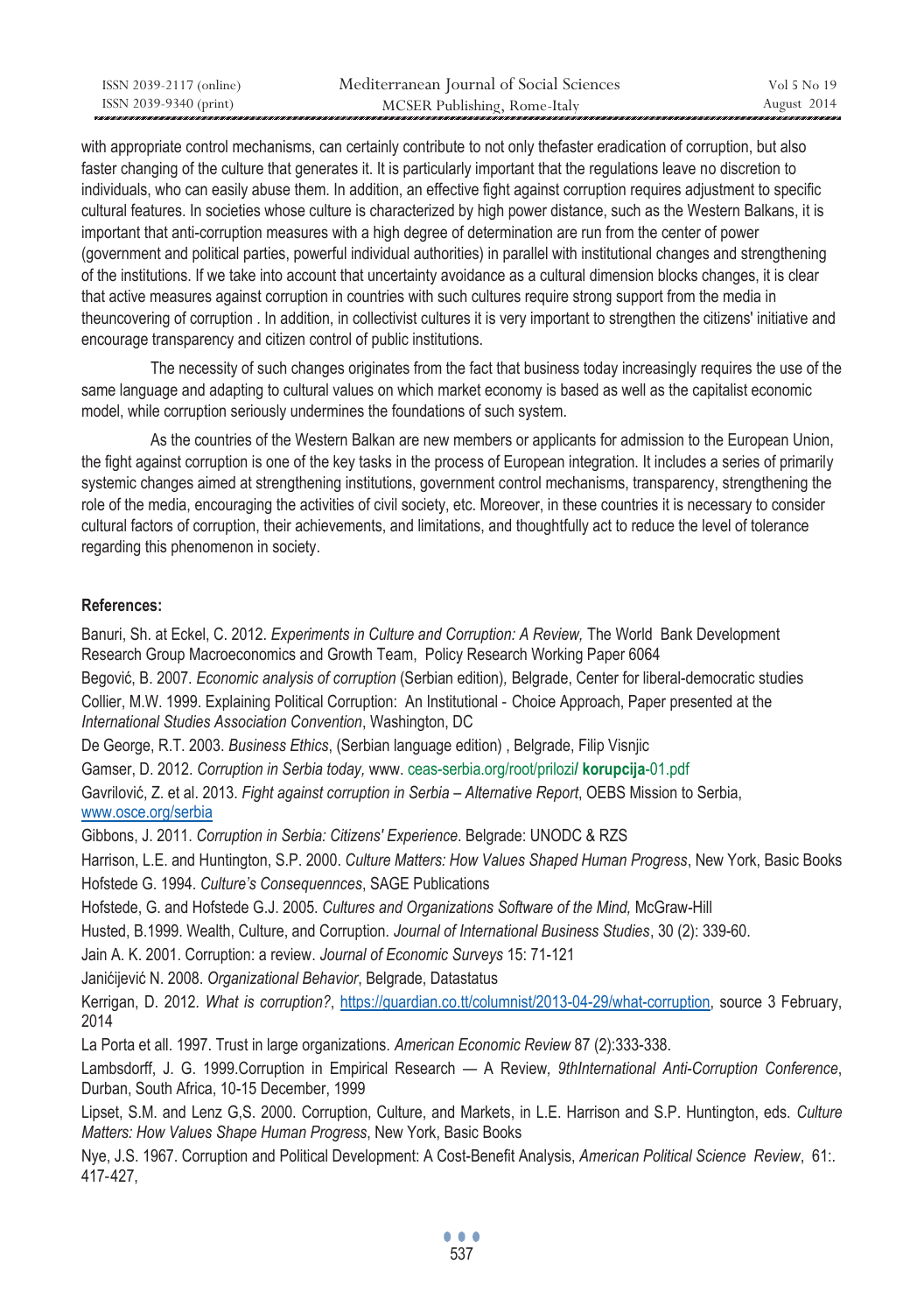| ISSN 2039-2117 (online) | Mediterranean Journal of Social Sciences | Vol 5 No 19 |
|-------------------------|------------------------------------------|-------------|
| ISSN 2039-9340 (print)  | MCSER Publishing, Rome-Italy             | August 2014 |

with appropriate control mechanisms, can certainly contribute to not only thefaster eradication of corruption, but also faster changing of the culture that generates it. It is particularly important that the regulations leave no discretion to individuals, who can easily abuse them. In addition, an effective fight against corruption requires adjustment to specific cultural features. In societies whose culture is characterized by high power distance, such as the Western Balkans, it is important that anti-corruption measures with a high degree of determination are run from the center of power (government and political parties, powerful individual authorities) in parallel with institutional changes and strengthening of the institutions. If we take into account that uncertainty avoidance as a cultural dimension blocks changes, it is clear that active measures against corruption in countries with such cultures require strong support from the media in theuncovering of corruption . In addition, in collectivist cultures it is very important to strengthen the citizens' initiative and encourage transparency and citizen control of public institutions.

The necessity of such changes originates from the fact that business today increasingly requires the use of the same language and adapting to cultural values on which market economy is based as well as the capitalist economic model, while corruption seriously undermines the foundations of such system.

As the countries of the Western Balkan are new members or applicants for admission to the European Union, the fight against corruption is one of the key tasks in the process of European integration. It includes a series of primarily systemic changes aimed at strengthening institutions, government control mechanisms, transparency, strengthening the role of the media, encouraging the activities of civil society, etc. Moreover, in these countries it is necessary to consider cultural factors of corruption, their achievements, and limitations, and thoughtfully act to reduce the level of tolerance regarding this phenomenon in society.

### **References:**

Banuri, Sh. at Eckel, C. 2012. *Experiments in Culture and Corruption: A Review,* The World Bank Development Research Group Macroeconomics and Growth Team, Policy Research Working Paper 6064 Begović, B. 2007. *Economic analysis of corruption* (Serbian edition)*,* Belgrade, Center for liberal-democratic studies Collier, M.W. 1999. Explaining Political Corruption: An Institutional - Choice Approach. Paper presented at the *International Studies Association Convention*, Washington, DC De George, R.T. 2003. *Business Ethics*, (Serbian language edition) , Belgrade, Filip Visnjic Gamser, D. 2012. *Corruption in Serbia today,* www. ceas-serbia.org/root/prilozi**/ korupcija**-01.pdf Gavrilović, Z. et al. 2013. *Fight against corruption in Serbia – Alternative Report*, OEBS Mission to Serbia, www.osce.org/serbia Gibbons, J. 2011. *Corruption in Serbia: Citizens' Experience*. Belgrade: UNODC & RZS Harrison, L.E. and Huntington, S.P. 2000. *Culture Matters: How Values Shaped Human Progress*, New York, Basic Books Hofstede G. 1994. *Culture's Consequennces*, SAGE Publications Hofstede, G. and Hofstede G.J. 2005. *Cultures and Organizations Software of the Mind,* McGraw-Hill Husted, B.1999. Wealth, Culture, and Corruption*. Journal of International Business Studies*, 30 (2): 339-60. Jain A. K. 2001. Corruption: a review. *Journal of Economic Surveys* 15: 71-121 Janićijević N. 2008. *Organizational Behavior*, Belgrade, Datastatus Kerrigan, D. 2012*. What is corruption?*, https://guardian.co.tt/columnist/2013-04-29/what-corruption, source 3 February, 2014 La Porta et all. 1997. Trust in large organizations*. American Economic Review* 87 (2):333-338. Lambsdorff, J. G. 1999.Corruption in Empirical Research — A Review*, 9thInternational Anti-Corruption Conference*, Durban, South Africa, 10-15 December, 1999 Lipset, S.M. and Lenz G,S. 2000. Corruption, Culture, and Markets, in L.E. Harrison and S.P. Huntington, eds. *Culture Matters: How Values Shape Human Progress*, New York, Basic Books Nye, J.S. 1967. Corruption and Political Development: A Cost-Benefit Analysis, *American Political Science Review*, 61:. 417-427,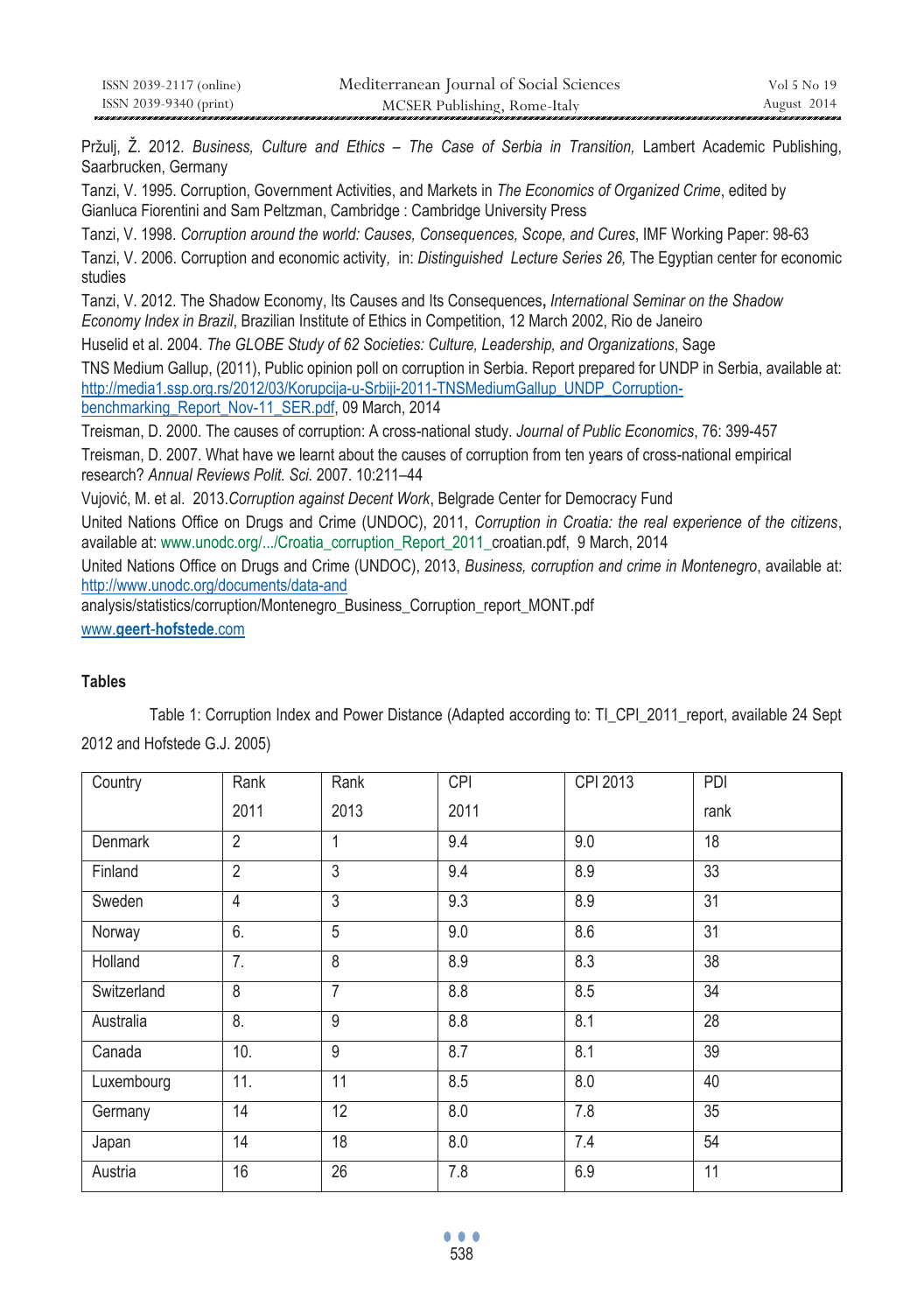| ISSN 2039-2117 (online) | Mediterranean Journal of Social Sciences | Vol 5 No 19 |
|-------------------------|------------------------------------------|-------------|
| ISSN 2039-9340 (print)  | MCSER Publishing, Rome-Italy             | August 2014 |

Pržulj, Ž. 2012. *Business, Culture and Ethics – The Case of Serbia in Transition, Lambert Academic Publishing,* Saarbrucken, Germany

Tanzi, V. 1995. Corruption, Government Activities, and Markets in *The Economics of Organized Crime*, edited by Gianluca Fiorentini and Sam Peltzman, Cambridge : Cambridge University Press

Tanzi, V. 1998. *Corruption around the world: Causes, Consequences, Scope, and Cures*, IMF Working Paper: 98-63

Tanzi, V. 2006. Corruption and economic activity*,* in: *Distinguished Lecture Series 26,* The Egyptian center for economic studies

Tanzi, V. 2012. The Shadow Economy, Its Causes and Its Consequences**,** *International Seminar on the Shadow Economy Index in Brazil*, Brazilian Institute of Ethics in Competition, 12 March 2002, Rio de Janeiro

Huselid et al. 2004. *The GLOBE Study of 62 Societies: Culture, Leadership, and Organizations*, Sage

TNS Medium Gallup, (2011), Public opinion poll on corruption in Serbia. Report prepared for UNDP in Serbia, available at: http://media1.ssp.org.rs/2012/03/Korupcija-u-Srbiji-2011-TNSMediumGallup\_UNDP\_Corruptionbenchmarking\_Report\_Nov-11\_SER.pdf, 09 March, 2014

Treisman, D. 2000. The causes of corruption: A cross-national study. *Journal of Public Economics*, 76: 399-457 Treisman, D. 2007. What have we learnt about the causes of corruption from ten years of cross-national empirical research? *Annual Reviews Polit. Sci.* 2007. 10:211–44

Vujović, M. et al. 2013.*Corruption against Decent Work*, Belgrade Center for Democracy Fund

United Nations Office on Drugs and Crime (UNDOC), 2011, *Corruption in Croatia: the real experience of the citizens*, available at: www.unodc.org/.../Croatia\_corruption\_Report\_2011\_croatian.pdf, 9 March, 2014

United Nations Office on Drugs and Crime (UNDOC), 2013, *Business, corruption and crime in Montenegro*, available at: http://www.unodc.org/documents/data-and

analysis/statistics/corruption/Montenegro\_Business\_Corruption\_report\_MONT.pdf

www.**geert**-**hofstede**.com

## **Tables**

Table 1: Corruption Index and Power Distance (Adapted according to: TI\_CPI\_2011\_report, available 24 Sept 2012 and Hofstede G.J. 2005)

| Country        | Rank             | Rank            | CPI  | CPI 2013 | PDI             |
|----------------|------------------|-----------------|------|----------|-----------------|
|                | 2011             | 2013            | 2011 |          | rank            |
| <b>Denmark</b> | $\overline{2}$   | 1               | 9.4  | 9.0      | 18              |
| Finland        | $\overline{2}$   | 3               | 9.4  | 8.9      | 33              |
| Sweden         | $\overline{4}$   | 3               | 9.3  | 8.9      | $\overline{31}$ |
| Norway         | 6.               | 5               | 9.0  | 8.6      | $\overline{31}$ |
| Holland        | $\overline{7}$ . | 8               | 8.9  | 8.3      | $\overline{38}$ |
| Switzerland    | 8                | 7               | 8.8  | 8.5      | 34              |
| Australia      | $\overline{8}$ . | 9               | 8.8  | 8.1      | 28              |
| Canada         | 10.              | 9               | 8.7  | 8.1      | $\overline{39}$ |
| Luxembourg     | 11.              | 11              | 8.5  | 8.0      | 40              |
| Germany        | 14               | 12              | 8.0  | 7.8      | 35              |
| Japan          | 14               | 18              | 8.0  | 7.4      | 54              |
| Austria        | 16               | $\overline{26}$ | 7.8  | 6.9      | 11              |

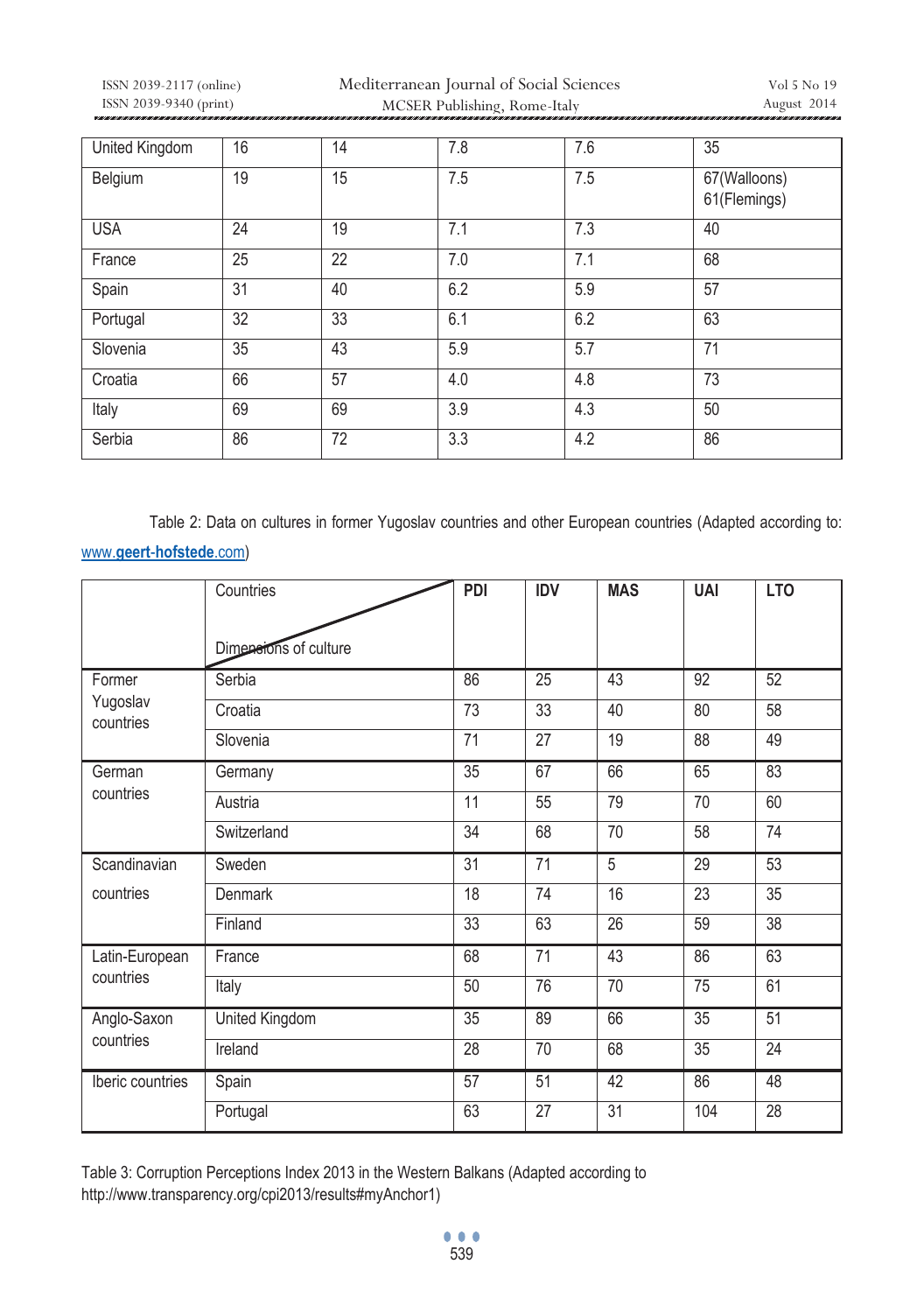ISSN 2039-2117 (online) ISSN 2039-9340 (print)

 Mediterranean Journal of Social Sciences MCSER Publishing, Rome-Italy

| United Kingdom | 16 | 14 | 7.8 | 7.6 | 35                           |
|----------------|----|----|-----|-----|------------------------------|
| Belgium        | 19 | 15 | 7.5 | 7.5 | 67(Walloons)<br>61(Flemings) |
| <b>USA</b>     | 24 | 19 | 7.1 | 7.3 | 40                           |
| France         | 25 | 22 | 7.0 | 7.1 | 68                           |
| Spain          | 31 | 40 | 6.2 | 5.9 | 57                           |
| Portugal       | 32 | 33 | 6.1 | 6.2 | 63                           |
| Slovenia       | 35 | 43 | 5.9 | 5.7 | 71                           |
| Croatia        | 66 | 57 | 4.0 | 4.8 | 73                           |
| Italy          | 69 | 69 | 3.9 | 4.3 | 50                           |
| Serbia         | 86 | 72 | 3.3 | 4.2 | 86                           |

Table 2: Data on cultures in former Yugoslav countries and other European countries (Adapted according to: www.**geert**-**hofstede**.com)

|                       | Countries             | PDI             | <b>IDV</b>      | <b>MAS</b>     | <b>UAI</b>      | <b>LTO</b>      |
|-----------------------|-----------------------|-----------------|-----------------|----------------|-----------------|-----------------|
|                       |                       |                 |                 |                |                 |                 |
|                       | Dimensions of culture |                 |                 |                |                 |                 |
| Former                | Serbia                | 86              | 25              | 43             | 92              | 52              |
| Yugoslav<br>countries | Croatia               | 73              | 33              | 40             | 80              | 58              |
|                       | Slovenia              | 71              | 27              | 19             | 88              | 49              |
| German                | Germany               | $\overline{35}$ | 67              | 66             | 65              | 83              |
| countries             | Austria               | 11              | 55              | 79             | 70              | 60              |
|                       | Switzerland           | $\overline{34}$ | 68              | 70             | $\overline{58}$ | $\overline{74}$ |
| Scandinavian          | Sweden                | $\overline{31}$ | $\overline{71}$ | $\overline{5}$ | $\overline{29}$ | 53              |
| countries             | Denmark               | $\overline{18}$ | $\overline{74}$ | 16             | $\overline{23}$ | $\overline{35}$ |
|                       | Finland               | 33              | 63              | 26             | 59              | 38              |
| Latin-European        | France                | 68              | 71              | 43             | 86              | 63              |
| countries             | Italy                 | 50              | 76              | 70             | $\overline{75}$ | 61              |
| Anglo-Saxon           | United Kingdom        | $\overline{35}$ | 89              | 66             | $\overline{35}$ | 51              |
| countries             | Ireland               | $\overline{28}$ | 70              | 68             | 35              | $\overline{24}$ |
| Iberic countries      | Spain                 | 57              | 51              | 42             | 86              | 48              |
|                       | Portugal              | 63              | 27              | 31             | 104             | 28              |

Table 3: Corruption Perceptions Index 2013 in the Western Balkans (Adapted according to http://www.transparency.org/cpi2013/results#myAnchor1)